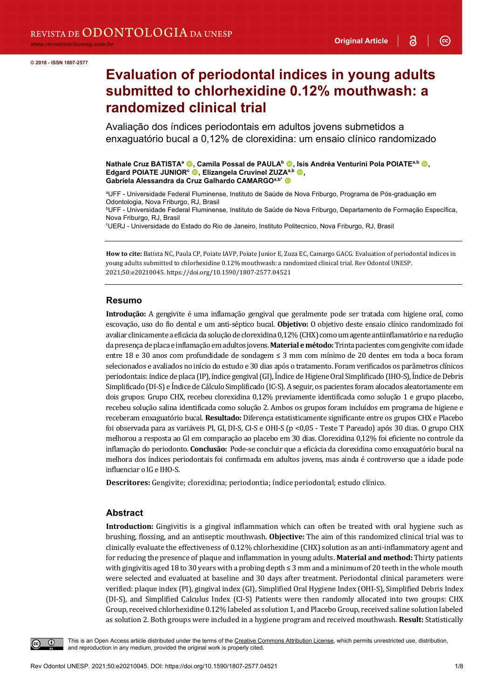$\left( \infty \right)$ 

# **Evaluation of periodontal indices in young adults submitted to chlorhexidine 0.12% mouthwash: a randomized clinical trial**

Avaliação dos índices periodontais em adultos jovens submetidos a enxaguatório bucal a 0,12% de clorexidina: um ensaio clínico randomizado

**Nathale Cruz BATISTA<sup>a</sup> ©, Camila Possal de PAULA<sup>b</sup> ©, Isis Andréa Venturini Pola POIATE<sup>a,b</sup> ©, Edgard POIATE JUNIOR<sup>c</sup> <b>.** Elizangela Cruvinel ZUZA<sup>a,b</sup> **.** Gabriela Alessandra da Cruz Galhardo CAMARGO<sup>a,b\*</sup>

ªUFF - Universidade Federal Fluminense, Instituto de Saúde de Nova Friburgo, Programa de Pós-graduação em Odontologia, Nova Friburgo, RJ, Brasil

<sup>b</sup>UFF - Universidade Federal Fluminense, Instituto de Saúde de Nova Friburgo, Departamento de Formação Específica, Nova Friburgo, RJ, Brasil

c UERJ - Universidade do Estado do Rio de Janeiro, Instituto Politecnico, Nova Friburgo, RJ, Brasil

**How to cite:** Batista NC, Paula CP, Poiate IAVP, Poiate Junior E, Zuza EC, Camargo GACG. Evaluation of periodontal indices in young adults submitted to chlorhexidine 0.12% mouthwash: a randomized clinical trial. Rev Odontol UNESP. 2021;50:e20210045. https://doi.org/10.1590/1807-2577.04521

#### **Resumo**

**Introdução:** A gengivite é uma inflamação gengival que geralmente pode ser tratada com higiene oral, como escovação, uso do fio dental e um anti-séptico bucal. **Objetivo:** O objetivo deste ensaio clínico randomizado foi avaliar clinicamente a eficácia da solução de clorexidina 0,12% (CHX) como um agente antiinflamatório e na redução da presença de placa e inflamação em adultos jovens. **Material e método:**Trinta pacientes com gengivite com idade entre 18 e 30 anos com profundidade de sondagem ≤ 3 mm com mínimo de 20 dentes em toda a boca foram selecionados e avaliados no início do estudo e 30 dias após o tratamento. Foram verificados os parâmetros clínicos periodontais: índice de placa (IP), índice gengival (GI), Índice de Higiene Oral Simplificado (IHO-S), Índice de Debris Simplificado (DI-S) e Índice de Cálculo Simplificado (IC-S). A seguir, os pacientes foram alocados aleatoriamente em dois grupos: Grupo CHX, recebeu clorexidina 0,12% previamente identificada como solução 1 e grupo placebo, recebeu solução salina identificada como solução 2. Ambos os grupos foram incluídos em programa de higiene e receberam enxaguatório bucal. **Resultado:** Diferença estatisticamente significante entre os grupos CHX e Placebo foi observada para as variáveis PI, GI, DI-S, CI-S e OHI-S (p <0,05 - Teste T Pareado) após 30 dias. O grupo CHX melhorou a resposta ao GI em comparação ao placebo em 30 dias. Clorexidina 0,12% foi eficiente no controle da inflamação do periodonto. **Conclusão:** Pode-se concluir que a eficácia da clorexidina como enxaguatório bucal na melhora dos índices periodontais foi confirmada em adultos jovens, mas ainda é controverso que a idade pode influenciar o IG e IHO-S.

**Descritores:** Gengivite; clorexidina; periodontia; índice periodontal; estudo clínico.

## **Abstract**

**Introduction:** Gingivitis is a gingival inflammation which can often be treated with oral hygiene such as brushing, flossing, and an antiseptic mouthwash. **Objective:** The aim of this randomized clinical trial was to clinically evaluate the effectiveness of 0.12% chlorhexidine (CHX) solution as an anti-inflammatory agent and for reducing the presence of plaque and inflammation in young adults. **Material and method:** Thirty patients with gingivitis aged 18 to 30 years with a probing depth ≤ 3 mm and a minimum of 20 teeth in the whole mouth were selected and evaluated at baseline and 30 days after treatment. Periodontal clinical parameters were verified: plaque index (PI), gingival index (GI), Simplified Oral Hygiene Index (OHI-S), Simplified Debris Index (DI-S), and Simplified Calculus Index (CI-S) Patients were then randomly allocated into two groups: CHX Group, received chlorhexidine 0.12% labeled as solution 1, and Placebo Group, received saline solution labeled as solution 2. Both groups were included in a hygiene program and received mouthwash. **Result:** Statistically



This is an Open Access article distributed under the terms of the Creative Commons Attribution License, which permits unrestricted use, distribution, and reproduction in any medium, provided the original work is properly cited.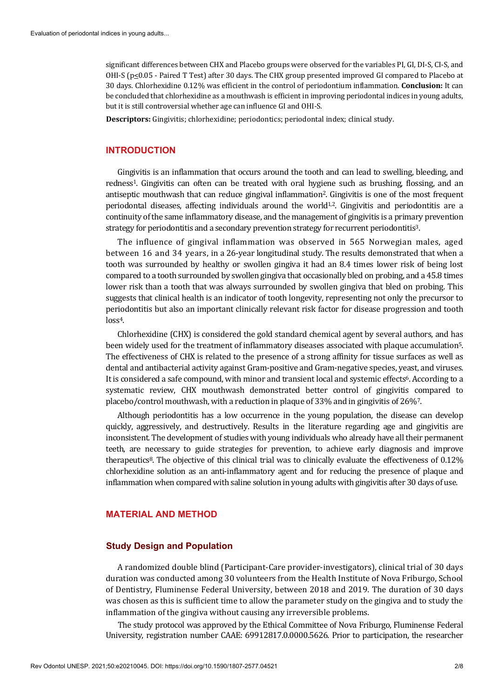significant differences between CHX and Placebo groups were observed for the variables PI, GI, DI-S, CI-S, and OHI-S ( $p \leq 0.05$  - Paired T Test) after 30 days. The CHX group presented improved GI compared to Placebo at 30 days. Chlorhexidine 0.12% was efficient in the control of periodontium inflammation. **Conclusion:** It can be concluded that chlorhexidine as a mouthwash is efficient in improving periodontal indices in young adults, but it is still controversial whether age can influence GI and OHI-S.

**Descriptors:** Gingivitis; chlorhexidine; periodontics; periodontal index; clinical study.

# **INTRODUCTION**

Gingivitis is an inflammation that occurs around the tooth and can lead to swelling, bleeding, and redness1. Gingivitis can often can be treated with oral hygiene such as brushing, flossing, and an antiseptic mouthwash that can reduce gingival inflammation2. Gingivitis is one of the most frequent periodontal diseases, affecting individuals around the world<sup>1,2</sup>. Gingivitis and periodontitis are a continuity of the same inflammatory disease, and the management of gingivitis is a primary prevention strategy for periodontitis and a secondary prevention strategy for recurrent periodontitis3.

The influence of gingival inflammation was observed in 565 Norwegian males, aged between 16 and 34 years, in a 26-year longitudinal study. The results demonstrated that when a tooth was surrounded by healthy or swollen gingiva it had an 8.4 times lower risk of being lost compared to a tooth surrounded by swollen gingiva that occasionally bled on probing, and a 45.8 times lower risk than a tooth that was always surrounded by swollen gingiva that bled on probing. This suggests that clinical health is an indicator of tooth longevity, representing not only the precursor to periodontitis but also an important clinically relevant risk factor for disease progression and tooth loss<sup>4</sup>.

Chlorhexidine (CHX) is considered the gold standard chemical agent by several authors, and has been widely used for the treatment of inflammatory diseases associated with plaque accumulation5. The effectiveness of CHX is related to the presence of a strong affinity for tissue surfaces as well as dental and antibacterial activity against Gram-positive and Gram-negative species, yeast, and viruses. It is considered a safe compound, with minor and transient local and systemic effects6. According to a systematic review, CHX mouthwash demonstrated better control of gingivitis compared to placebo/control mouthwash, with a reduction in plaque of 33% and in gingivitis of 26%7.

Although periodontitis has a low occurrence in the young population, the disease can develop quickly, aggressively, and destructively. Results in the literature regarding age and gingivitis are inconsistent. The development of studies with young individuals who already have all their permanent teeth, are necessary to guide strategies for prevention, to achieve early diagnosis and improve therapeutics<sup>8</sup>. The objective of this clinical trial was to clinically evaluate the effectiveness of 0.12% chlorhexidine solution as an anti-inflammatory agent and for reducing the presence of plaque and inflammation when compared with saline solution in young adults with gingivitis after 30 days of use.

# **MATERIAL AND METHOD**

#### **Study Design and Population**

A randomized double blind (Participant-Care provider-investigators), clinical trial of 30 days duration was conducted among 30 volunteers from the Health Institute of Nova Friburgo, School of Dentistry, Fluminense Federal University, between 2018 and 2019. The duration of 30 days was chosen as this is sufficient time to allow the parameter study on the gingiva and to study the inflammation of the gingiva without causing any irreversible problems.

The study protocol was approved by the Ethical Committee of Nova Friburgo, Fluminense Federal University, registration number CAAE: 69912817.0.0000.5626. Prior to participation, the researcher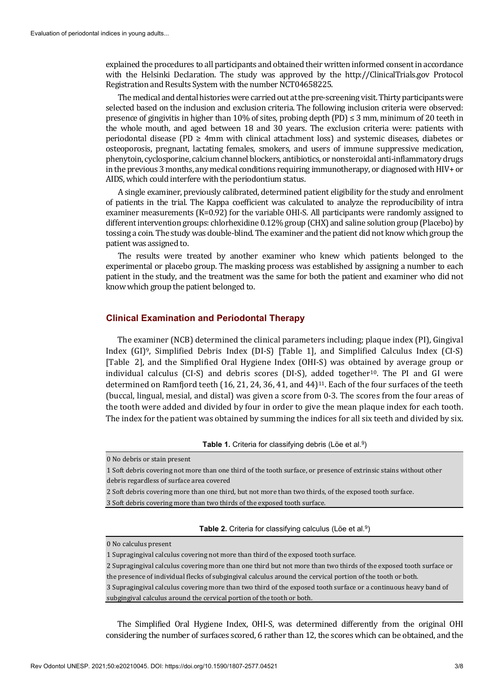explained the procedures to all participants and obtained their written informed consent in accordance with the Helsinki Declaration. The study was approved by the http://ClinicalTrials.gov Protocol Registration and Results System with the number NCT04658225.

The medical and dental histories were carried out at the pre-screening visit. Thirty participants were selected based on the inclusion and exclusion criteria. The following inclusion criteria were observed: presence of gingivitis in higher than 10% of sites, probing depth (PD)  $\leq$  3 mm, minimum of 20 teeth in the whole mouth, and aged between 18 and 30 years. The exclusion criteria were: patients with periodontal disease (PD ≥ 4mm with clinical attachment loss) and systemic diseases, diabetes or osteoporosis, pregnant, lactating females, smokers, and users of immune suppressive medication, phenytoin, cyclosporine, calcium channel blockers, antibiotics, or nonsteroidal anti-inflammatory drugs in the previous 3 months, any medical conditions requiring immunotherapy, or diagnosed with HIV+ or AIDS, which could interfere with the periodontium status.

A single examiner, previously calibrated, determined patient eligibility for the study and enrolment of patients in the trial. The Kappa coefficient was calculated to analyze the reproducibility of intra examiner measurements (K=0.92) for the variable OHI-S. All participants were randomly assigned to different intervention groups: chlorhexidine 0.12% group (CHX) and saline solution group (Placebo) by tossing a coin. The study was double-blind. The examiner and the patient did not know which group the patient was assigned to.

The results were treated by another examiner who knew which patients belonged to the experimental or placebo group. The masking process was established by assigning a number to each patient in the study, and the treatment was the same for both the patient and examiner who did not know which group the patient belonged to.

#### **Clinical Examination and Periodontal Therapy**

The examiner (NCB) determined the clinical parameters including; plaque index (PI), Gingival Index (GI)9, Simplified Debris Index (DI-S) [Table 1], and Simplified Calculus Index (CI-S) [Table 2], and the Simplified Oral Hygiene Index (OHI-S) was obtained by average group or individual calculus  $(CI-S)$  and debris scores  $(DI-S)$ , added together<sup>10</sup>. The PI and GI were determined on Ramfjord teeth (16, 21, 24, 36, 41, and 44)11. Each of the four surfaces of the teeth (buccal, lingual, mesial, and distal) was given a score from 0-3. The scores from the four areas of the tooth were added and divided by four in order to give the mean plaque index for each tooth. The index for the patient was obtained by summing the indices for all six teeth and divided by six.

**Table 1.** Criteria for classifying debris (Löe et al.<sup>9</sup>)

0 No debris or stain present

1 Soft debris covering not more than one third of the tooth surface, or presence of extrinsic stains without other debris regardless of surface area covered

2 Soft debris covering more than one third, but not more than two thirds, of the exposed tooth surface.

3 Soft debris covering more than two thirds of the exposed tooth surface.

**Table 2.** Criteria for classifying calculus (Löe et al.<sup>9</sup>)

0 No calculus present

1 Supragingival calculus covering not more than third of the exposed tooth surface.

2 Supragingival calculus covering more than one third but not more than two thirds of the exposed tooth surface or the presence of individual flecks of subgingival calculus around the cervical portion of the tooth or both.

3 Supragingival calculus covering more than two third of the exposed tooth surface or a continuous heavy band of subgingival calculus around the cervical portion of the tooth or both.

The Simplified Oral Hygiene Index, OHI-S, was determined differently from the original OHI considering the number of surfaces scored, 6 rather than 12, the scores which can be obtained, and the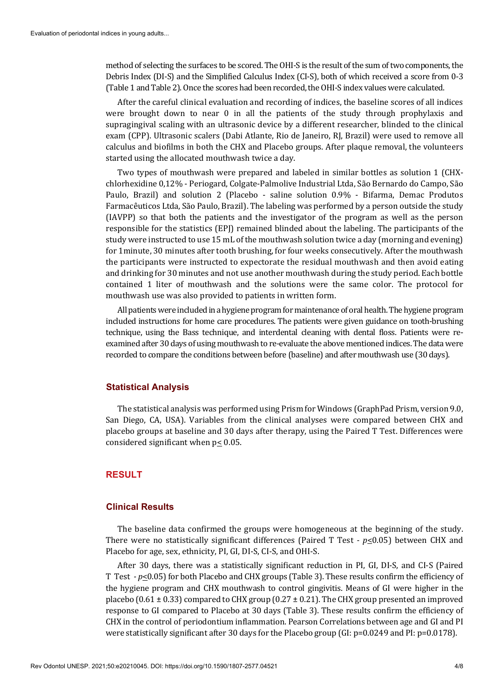method of selecting the surfaces to be scored. The OHI-S is the result of the sum of two components, the Debris Index (DI-S) and the Simplified Calculus Index (CI-S), both of which received a score from 0-3 (Table 1 and Table 2). Once the scores had been recorded, the OHI-S index values were calculated.

After the careful clinical evaluation and recording of indices, the baseline scores of all indices were brought down to near 0 in all the patients of the study through prophylaxis and supragingival scaling with an ultrasonic device by a different researcher, blinded to the clinical exam (CPP). Ultrasonic scalers (Dabi Atlante, Rio de Janeiro, RJ, Brazil) were used to remove all calculus and biofilms in both the CHX and Placebo groups. After plaque removal, the volunteers started using the allocated mouthwash twice a day.

Two types of mouthwash were prepared and labeled in similar bottles as solution 1 (CHXchlorhexidine 0,12% - Periogard, Colgate-Palmolive Industrial Ltda, São Bernardo do Campo, São Paulo, Brazil) and solution 2 (Placebo - saline solution 0.9% - Bifarma, Demac Produtos Farmacêuticos Ltda, São Paulo, Brazil). The labeling was performed by a person outside the study (IAVPP) so that both the patients and the investigator of the program as well as the person responsible for the statistics (EPJ) remained blinded about the labeling. The participants of the study were instructed to use 15 mL of the mouthwash solution twice a day (morning and evening) for 1minute, 30 minutes after tooth brushing, for four weeks consecutively. After the mouthwash the participants were instructed to expectorate the residual mouthwash and then avoid eating and drinking for 30 minutes and not use another mouthwash during the study period. Each bottle contained 1 liter of mouthwash and the solutions were the same color. The protocol for mouthwash use was also provided to patients in written form.

All patients were included in a hygiene program for maintenance of oral health. The hygiene program included instructions for home care procedures. The patients were given guidance on tooth-brushing technique, using the Bass technique, and interdental cleaning with dental floss. Patients were reexamined after 30 days of using mouthwash to re-evaluate the above mentioned indices. The data were recorded to compare the conditions between before (baseline) and after mouthwash use (30 days).

## **Statistical Analysis**

The statistical analysis was performed using Prism for Windows (GraphPad Prism, version 9.0, San Diego, CA, USA). Variables from the clinical analyses were compared between CHX and placebo groups at baseline and 30 days after therapy, using the Paired T Test. Differences were considered significant when  $p \leq 0.05$ .

## **RESULT**

#### **Clinical Results**

The baseline data confirmed the groups were homogeneous at the beginning of the study. There were no statistically significant differences (Paired T Test  $\cdot$  *p* $\leq$ 0.05) between CHX and Placebo for age, sex, ethnicity, PI, GI, DI-S, CI-S, and OHI-S.

After 30 days, there was a statistically significant reduction in PI, GI, DI-S, and CI-S (Paired T Test *- p*<0.05) for both Placebo and CHX groups (Table 3). These results confirm the efficiency of the hygiene program and CHX mouthwash to control gingivitis. Means of GI were higher in the placebo (0.61  $\pm$  0.33) compared to CHX group (0.27  $\pm$  0.21). The CHX group presented an improved response to GI compared to Placebo at 30 days (Table 3). These results confirm the efficiency of CHX in the control of periodontium inflammation. Pearson Correlations between age and GI and PI were statistically significant after 30 days for the Placebo group (GI: p=0.0249 and PI: p=0.0178).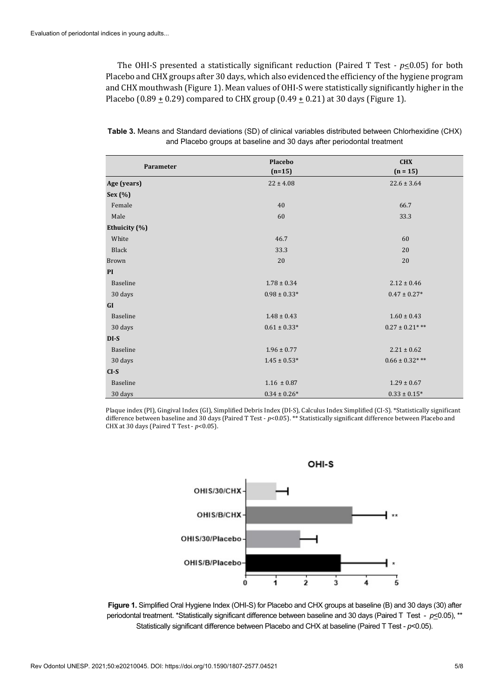The OHI-S presented a statistically significant reduction (Paired T Test *- p*<0.05) for both Placebo and CHX groups after 30 days, which also evidenced the efficiency of the hygiene program and CHX mouthwash (Figure 1). Mean values of OHI-S were statistically significantly higher in the Placebo (0.89  $\pm$  0.29) compared to CHX group (0.49  $\pm$  0.21) at 30 days (Figure 1).

| Parameter     | Placebo<br>$(n=15)$ | <b>CHX</b><br>$(n = 15)$ |
|---------------|---------------------|--------------------------|
|               |                     |                          |
| Age (years)   | $22 \pm 4.08$       | $22.6 \pm 3.64$          |
| Sex (%)       |                     |                          |
| Female        | 40                  | 66.7                     |
| Male          | 60                  | 33.3                     |
| Ethuicity (%) |                     |                          |
| White         | 46.7                | 60                       |
| Black         | 33.3                | 20                       |
| Brown         | 20                  | 20                       |
| PI            |                     |                          |
| Baseline      | $1.78 \pm 0.34$     | $2.12 \pm 0.46$          |
| 30 days       | $0.98 \pm 0.33*$    | $0.47\pm0.27^*$          |
| GI            |                     |                          |
| Baseline      | $1.48 \pm 0.43$     | $1.60 \pm 0.43$          |
| 30 days       | $0.61 \pm 0.33*$    | $0.27 \pm 0.21$ ***      |
| $DI-S$        |                     |                          |
| Baseline      | $1.96 \pm 0.77$     | $2.21 \pm 0.62$          |
| 30 days       | $1.45 \pm 0.53*$    | $0.66 \pm 0.32***$       |
| $CI-S$        |                     |                          |
| Baseline      | $1.16 \pm 0.87$     | $1.29 \pm 0.67$          |
| 30 days       | $0.34 \pm 0.26*$    | $0.33\pm0.15^*$          |

**Table 3.** Means and Standard deviations (SD) of clinical variables distributed between Chlorhexidine (CHX) and Placebo groups at baseline and 30 days after periodontal treatment

Plaque index (PI), Gingival Index (GI), Simplified Debris Index (DI-S), Calculus Index Simplified (CI-S). \*Statistically significant difference between baseline and 30 days (Paired T Test - *p*<0.05). \*\* Statistically significant difference between Placebo and CHX at 30 days (Paired T Test - *p*<0.05).



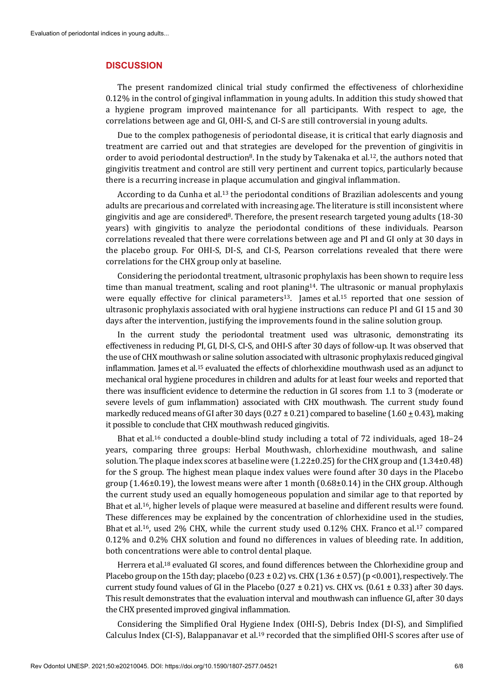#### **DISCUSSION**

The present randomized clinical trial study confirmed the effectiveness of chlorhexidine 0.12% in the control of gingival inflammation in young adults. In addition this study showed that a hygiene program improved maintenance for all participants. With respect to age, the correlations between age and GI, OHI-S, and CI-S are still controversial in young adults.

Due to the complex pathogenesis of periodontal disease, it is critical that early diagnosis and treatment are carried out and that strategies are developed for the prevention of gingivitis in order to avoid periodontal destruction<sup>8</sup>. In the study by Takenaka et al.<sup>12</sup>, the authors noted that gingivitis treatment and control are still very pertinent and current topics, particularly because there is a recurring increase in plaque accumulation and gingival inflammation.

According to da Cunha et al.13 the periodontal conditions of Brazilian adolescents and young adults are precarious and correlated with increasing age. The literature is still inconsistent where gingivitis and age are considered8. Therefore, the present research targeted young adults (18-30 years) with gingivitis to analyze the periodontal conditions of these individuals. Pearson correlations revealed that there were correlations between age and PI and GI only at 30 days in the placebo group. For OHI-S, DI-S, and CI-S, Pearson correlations revealed that there were correlations for the CHX group only at baseline.

Considering the periodontal treatment, ultrasonic prophylaxis has been shown to require less time than manual treatment, scaling and root planing14. The ultrasonic or manual prophylaxis were equally effective for clinical parameters<sup>13</sup>. James et al.<sup>15</sup> reported that one session of ultrasonic prophylaxis associated with oral hygiene instructions can reduce PI and GI 15 and 30 days after the intervention, justifying the improvements found in the saline solution group.

In the current study the periodontal treatment used was ultrasonic, demonstrating its effectiveness in reducing PI, GI, DI-S, CI-S, and OHI-S after 30 days of follow-up. It was observed that the use of CHX mouthwash or saline solution associated with ultrasonic prophylaxis reduced gingival inflammation. James et al.15 evaluated the effects of chlorhexidine mouthwash used as an adjunct to mechanical oral hygiene procedures in children and adults for at least four weeks and reported that there was insufficient evidence to determine the reduction in GI scores from 1.1 to 3 (moderate or severe levels of gum inflammation) associated with CHX mouthwash. The current study found markedly reduced means of GI after 30 days ( $0.27 \pm 0.21$ ) compared to baseline ( $1.60 \pm 0.43$ ), making it possible to conclude that CHX mouthwash reduced gingivitis.

Bhat et al.16 conducted a double-blind study including a total of 72 individuals, aged 18–24 years, comparing three groups: Herbal Mouthwash, chlorhexidine mouthwash, and saline solution. The plaque index scores at baseline were  $(1.22\pm0.25)$  for the CHX group and  $(1.34\pm0.48)$ for the S group. The highest mean plaque index values were found after 30 days in the Placebo group  $(1.46\pm0.19)$ , the lowest means were after 1 month  $(0.68\pm0.14)$  in the CHX group. Although the current study used an equally homogeneous population and similar age to that reported by Bhat et al.16, higher levels of plaque were measured at baseline and different results were found. These differences may be explained by the concentration of chlorhexidine used in the studies, Bhat et al.<sup>16</sup>, used 2% CHX, while the current study used 0.12% CHX. Franco et al.<sup>17</sup> compared 0.12% and 0.2% CHX solution and found no differences in values of bleeding rate. In addition, both concentrations were able to control dental plaque.

Herrera et al.<sup>18</sup> evaluated GI scores, and found differences between the Chlorhexidine group and Placebo group on the 15th day; placebo ( $0.23 \pm 0.2$ ) vs. CHX ( $1.36 \pm 0.57$ ) (p <0.001), respectively. The current study found values of GI in the Placebo ( $0.27 \pm 0.21$ ) vs. CHX vs. ( $0.61 \pm 0.33$ ) after 30 days. This result demonstrates that the evaluation interval and mouthwash can influence GI, after 30 days the CHX presented improved gingival inflammation.

Considering the Simplified Oral Hygiene Index (OHI-S), Debris Index (DI-S), and Simplified Calculus Index (CI-S), Balappanavar et al.19 recorded that the simplified OHI-S scores after use of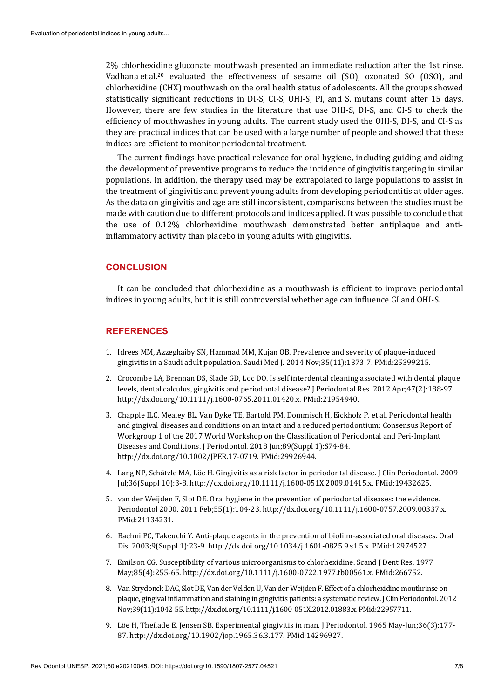2% chlorhexidine gluconate mouthwash presented an immediate reduction after the 1st rinse. Vadhana et al.20 evaluated the effectiveness of sesame oil (SO), ozonated SO (OSO), and chlorhexidine (CHX) mouthwash on the oral health status of adolescents. All the groups showed statistically significant reductions in DI-S, CI-S, OHI-S, PI, and S. mutans count after 15 days. However, there are few studies in the literature that use OHI-S, DI-S, and CI-S to check the efficiency of mouthwashes in young adults. The current study used the OHI-S, DI-S, and CI-S as they are practical indices that can be used with a large number of people and showed that these indices are efficient to monitor periodontal treatment.

The current findings have practical relevance for oral hygiene, including guiding and aiding the development of preventive programs to reduce the incidence of gingivitis targeting in similar populations. In addition, the therapy used may be extrapolated to large populations to assist in the treatment of gingivitis and prevent young adults from developing periodontitis at older ages. As the data on gingivitis and age are still inconsistent, comparisons between the studies must be made with caution due to different protocols and indices applied. It was possible to conclude that the use of 0.12% chlorhexidine mouthwash demonstrated better antiplaque and antiinflammatory activity than placebo in young adults with gingivitis.

## **CONCLUSION**

It can be concluded that chlorhexidine as a mouthwash is efficient to improve periodontal indices in young adults, but it is still controversial whether age can influence GI and OHI-S.

## **REFERENCES**

- 1. Idrees MM, Azzeghaiby SN, Hammad MM, Kujan OB. Prevalence and severity of plaque-induced gingivitis in a Saudi adult population. Saudi Med J. 2014 Nov;35(11):1373-7. [PMid:25399215.](https://www.ncbi.nlm.nih.gov/entrez/query.fcgi?cmd=Retrieve&db=PubMed&list_uids=25399215&dopt=Abstract)
- 2. Crocombe LA, Brennan DS, Slade GD, Loc DO. Is self interdental cleaning associated with dental plaque levels, dental calculus, gingivitis and periodontal disease? J Periodontal Res. 2012 Apr;47(2):188-97. [http://dx.doi.org/10.1111/j.1600-0765.2011.01420.x.](https://doi.org/10.1111/j.1600-0765.2011.01420.x) [PMid:21954940.](https://www.ncbi.nlm.nih.gov/entrez/query.fcgi?cmd=Retrieve&db=PubMed&list_uids=21954940&dopt=Abstract)
- 3. Chapple ILC, Mealey BL, Van Dyke TE, Bartold PM, Dommisch H, Eickholz P, et al. Periodontal health and gingival diseases and conditions on an intact and a reduced periodontium: Consensus Report of Workgroup 1 of the 2017 World Workshop on the Classification of Periodontal and Peri-Implant Diseases and Conditions. J Periodontol. 2018 Jun;89(Suppl 1):S74-84. [http://dx.doi.org/10.1002/JPER.17-0719.](https://doi.org/10.1002/JPER.17-0719) [PMid:29926944.](https://www.ncbi.nlm.nih.gov/entrez/query.fcgi?cmd=Retrieve&db=PubMed&list_uids=29926944&dopt=Abstract)
- 4. Lang NP, Schätzle MA, Löe H. Gingivitis as a risk factor in periodontal disease. J Clin Periodontol. 2009 Jul;36(Suppl 10):3-8. [http://dx.doi.org/10.1111/j.1600-051X.2009.01415.x.](https://doi.org/10.1111/j.1600-051X.2009.01415.x) [PMid:19432625.](https://www.ncbi.nlm.nih.gov/entrez/query.fcgi?cmd=Retrieve&db=PubMed&list_uids=19432625&dopt=Abstract)
- 5. van der Weijden F, Slot DE. Oral hygiene in the prevention of periodontal diseases: the evidence. Periodontol 2000. 2011 Feb;55(1):104-23[. http://dx.doi.org/10.1111/j.1600-0757.2009.00337.x](https://doi.org/10.1111/j.1600-0757.2009.00337.x)[.](https://www.ncbi.nlm.nih.gov/entrez/query.fcgi?cmd=Retrieve&db=PubMed&list_uids=21134231&dopt=Abstract) [PMid:21134231.](https://www.ncbi.nlm.nih.gov/entrez/query.fcgi?cmd=Retrieve&db=PubMed&list_uids=21134231&dopt=Abstract)
- 6. Baehni PC, Takeuchi Y. Anti-plaque agents in the prevention of biofilm-associated oral diseases. Oral Dis. 2003;9(Suppl 1):23-9[. http://dx.doi.org/10.1034/j.1601-0825.9.s1.5.x.](https://doi.org/10.1034/j.1601-0825.9.s1.5.x) [PMid:12974527.](https://www.ncbi.nlm.nih.gov/entrez/query.fcgi?cmd=Retrieve&db=PubMed&list_uids=12974527&dopt=Abstract)
- 7. Emilson CG. Susceptibility of various microorganisms to chlorhexidine. Scand J Dent Res. 1977 May;85(4):255-65. http://dx.doi.org/10.1111/j.1600-0722.1977.tb00561.x. [PMid:266752.](https://www.ncbi.nlm.nih.gov/entrez/query.fcgi?cmd=Retrieve&db=PubMed&list_uids=266752&dopt=Abstract)
- 8. Van Strydonck DAC, Slot DE, Van der Velden U, Van der Weijden F. Effect of a chlorhexidine mouthrinse on plaque, gingival inflammation and staining in gingivitis patients: a systematic review. J Clin Periodontol. 2012 Nov;39(11):1042-55[. http://dx.doi.org/10.1111/j.1600-051X.2012.01883.x.](https://doi.org/10.1111/j.1600-051X.2012.01883.x) [PMid:22957711.](https://www.ncbi.nlm.nih.gov/entrez/query.fcgi?cmd=Retrieve&db=PubMed&list_uids=22957711&dopt=Abstract)
- 9. Löe H, Theilade E, Jensen SB. Experimental gingivitis in man. J Periodontol. 1965 May-Jun;36(3):177- 87[. http://dx.doi.org/10.1902/jop.1965.36.3.177.](https://doi.org/10.1902/jop.1965.36.3.177) [PMid:14296927.](https://www.ncbi.nlm.nih.gov/entrez/query.fcgi?cmd=Retrieve&db=PubMed&list_uids=14296927&dopt=Abstract)